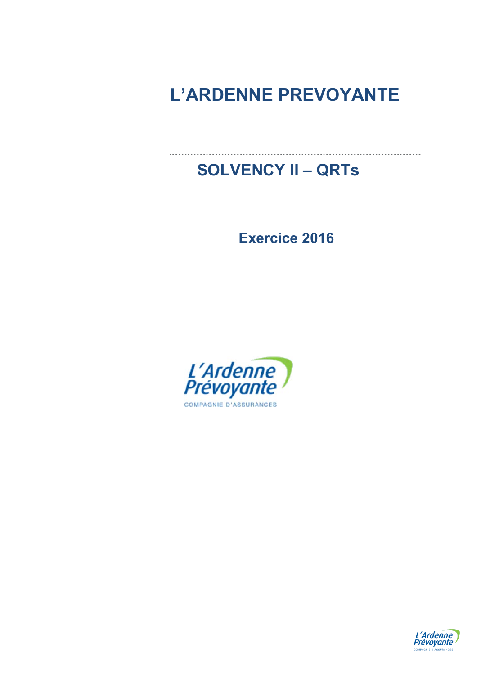# **L'ARDENNE PREVOYANTE**

# **SOLVENCY II – QRTs**

**Exercice 2016** 



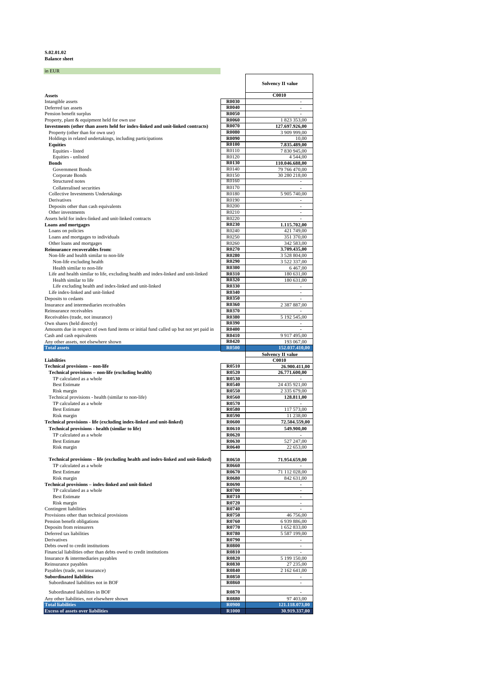## **S.02.01.02 Balance sheet**

| in EUR                                                                                                                  |                       |                                            |
|-------------------------------------------------------------------------------------------------------------------------|-----------------------|--------------------------------------------|
|                                                                                                                         |                       | <b>Solvency II value</b>                   |
| Assets                                                                                                                  |                       | <b>C0010</b>                               |
| Intangible assets                                                                                                       | R0030                 | $\overline{a}$                             |
| Deferred tax assets                                                                                                     | R0040                 | $\overline{a}$                             |
| Pension benefit surplus<br>Property, plant & equipment held for own use                                                 | R0050<br><b>R0060</b> | 1 823 353,00                               |
| Investments (other than assets held for index-linked and unit-linked contracts)                                         | R0070                 | 127.697.926,00                             |
| Property (other than for own use)                                                                                       | <b>R0080</b>          | 3 909 999,00                               |
| Holdings in related undertakings, including participations<br><b>Equities</b>                                           | R0090<br><b>R0100</b> | 10,00<br>7.835.489,00                      |
| Equities - listed                                                                                                       | R0110                 | 7 830 945,00                               |
| Equities - unlisted                                                                                                     | R0120                 | 4 5 4 4 ,00                                |
| <b>Bonds</b><br><b>Government Bonds</b>                                                                                 | R0130<br>R0140        | 110.046.688,00<br>79 766 470,00            |
| Corporate Bonds                                                                                                         | R0150                 | 30 280 218,00                              |
| Structured notes                                                                                                        | R0160                 | $\overline{\phantom{a}}$                   |
| Collateralised securities                                                                                               | R0170                 |                                            |
| <b>Collective Investments Undertakings</b><br>Derivatives                                                               | R0180<br>R0190        | 5 905 740,00<br>$\overline{a}$             |
| Deposits other than cash equivalents                                                                                    | R0200                 | $\overline{a}$                             |
| Other investments                                                                                                       | R0210                 | $\overline{\phantom{a}}$                   |
| Assets held for index-linked and unit-linked contracts<br><b>Loans and mortgages</b>                                    | R0220<br>R0230        | 1.115.702,00                               |
| Loans on policies                                                                                                       | R0240                 | 421 749,00                                 |
| Loans and mortgages to individuals                                                                                      | R0250                 | 351 370,00                                 |
| Other loans and mortgages<br><b>Reinsurance recoverables from:</b>                                                      | R0260<br>R0270        | 342 583,00<br>3.709.435,00                 |
| Non-life and health similar to non-life                                                                                 | R0280                 | 3 528 804,00                               |
| Non-life excluding health                                                                                               | R0290                 | 3 522 337,00                               |
| Health similar to non-life<br>Life and health similar to life, excluding health and index-linked and unit-linked        | R0300<br><b>R0310</b> | 6467,00<br>180 631,00                      |
| Health similar to life                                                                                                  | R0320                 | 180 631,00                                 |
| Life excluding health and index-linked and unit-linked                                                                  | R0330                 |                                            |
| Life index-linked and unit-linked<br>Deposits to cedants                                                                | R0340<br>R0350        | ÷,<br>$\overline{a}$                       |
| Insurance and intermediaries receivables                                                                                | R0360                 | 2 387 887,00                               |
| Reinsurance receivables                                                                                                 | R0370                 | $\overline{a}$                             |
| Receivables (trade, not insurance)                                                                                      | R0380                 | 5 192 545,00                               |
| Own shares (held directly)<br>Amounts due in respect of own fund items or initial fund called up but not yet paid in    | R0390<br>R0400        | $\sim$<br>$\sim$                           |
| Cash and cash equivalents                                                                                               | R0410                 | 9 917 495,00                               |
|                                                                                                                         |                       |                                            |
| Any other assets, not elsewhere shown                                                                                   | R0420                 | 193 067,00                                 |
| <b>Total assets</b>                                                                                                     | <b>R0500</b>          | 152.037.410,00<br><b>Solvency II value</b> |
| Liabilities                                                                                                             |                       | <b>C0010</b>                               |
| <b>Technical provisions - non-life</b><br>Technical provisions - non-life (excluding health)                            | <b>R0510</b><br>R0520 | 26.900.411,00<br>26.771.600,00             |
| TP calculated as a whole                                                                                                | R0530                 |                                            |
| <b>Best Estimate</b>                                                                                                    | R0540                 | 24 435 921,00                              |
| Risk margin<br>Technical provisions - health (similar to non-life)                                                      | R0550<br>R0560        | 2 335 679,00<br>128.811,00                 |
| TP calculated as a whole                                                                                                | R0570                 |                                            |
| <b>Best Estimate</b>                                                                                                    | R0580                 | 117 573,00                                 |
| Risk margin                                                                                                             | R0590<br><b>R0600</b> | 11 238,00                                  |
| Technical provisions - life (excluding index-linked and unit-linked)<br>Technical provisions - health (similar to life) | <b>R0610</b>          | 72.504.559,00<br>549.900,00                |
| TP calculated as a whole                                                                                                | R0620                 |                                            |
| <b>Best Estimate</b>                                                                                                    | R0630                 | 527 247,00                                 |
| Risk margin                                                                                                             | R0640                 | 22 653,00                                  |
| Technical provisions – life (excluding health and index-linked and unit-linked)                                         | R0650                 | 71.954.659,00                              |
| TP calculated as a whole                                                                                                | R0660                 |                                            |
| <b>Best Estimate</b><br>Risk margin                                                                                     | R0670<br>R0680        | 71 112 028,00<br>842 631,00                |
| Technical provisions - index-linked and unit-linked                                                                     | R0690                 | $\blacksquare$                             |
| TP calculated as a whole                                                                                                | R0700                 | $\sim$                                     |
| <b>Best Estimate</b>                                                                                                    | R0710                 | $\overline{\phantom{a}}$                   |
| Risk margin<br>Contingent liabilities                                                                                   | R0720<br>R0740        |                                            |
| Provisions other than technical provisions                                                                              | R0750                 | 46 756,00                                  |
| Pension benefit obligations                                                                                             | R0760                 | 6 939 886,00                               |
| Deposits from reinsurers<br>Deferred tax liabilities                                                                    | R0770<br>R0780        | 1 652 833,00<br>5 587 199,00               |
| Derivatives                                                                                                             | R0790                 | $\sim$                                     |
| Debts owed to credit institutions                                                                                       | <b>R0800</b>          | $\overline{\phantom{a}}$                   |
| Financial liabilities other than debts owed to credit institutions<br>Insurance & intermediaries payables               | <b>R0810</b><br>R0820 | $\overline{\phantom{a}}$<br>5 199 150,00   |
| Reinsurance payables                                                                                                    | R0830                 | 27 235,00                                  |
| Payables (trade, not insurance)                                                                                         | <b>R0840</b>          | 2 162 641,00                               |
| <b>Subordinated liabilities</b><br>Subordinated liabilities not in BOF                                                  | R0850<br>R0860        | $\overline{\phantom{a}}$                   |
| Subordinated liabilities in BOF                                                                                         | R0870                 | $\overline{a}$                             |
| Any other liabilities, not elsewhere shown                                                                              | <b>R0880</b>          | 97 403,00                                  |
| <b>Total liabilities</b><br><b>Excess of assets over liabilities</b>                                                    | R0900<br>R1000        | 121.118.073,00<br>30.919.337,00            |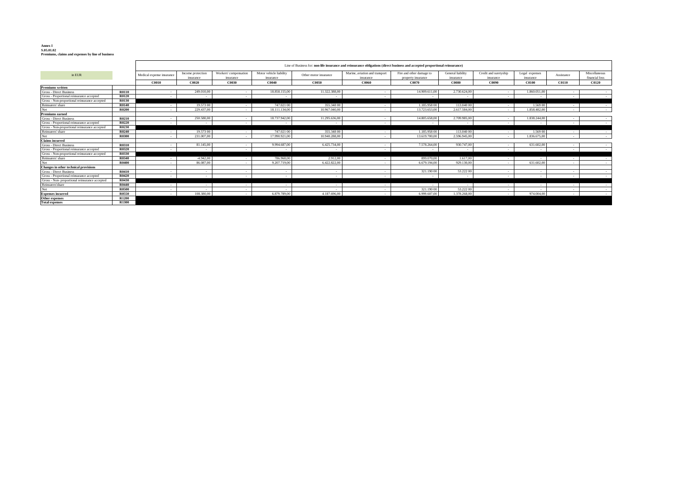# **Annex I S.05.01.02 Premiums, claims and expenses by line of business**

|                                               |              | Line of Business for: non-life insurance and reinsurance obligations (direct business and accepted proportional reinsurance) |                                |                                    |                                      |                       |                                             |                                                |                                |                                    |                             |              |                                 |
|-----------------------------------------------|--------------|------------------------------------------------------------------------------------------------------------------------------|--------------------------------|------------------------------------|--------------------------------------|-----------------------|---------------------------------------------|------------------------------------------------|--------------------------------|------------------------------------|-----------------------------|--------------|---------------------------------|
| in EUR                                        |              | Medical expense insurance                                                                                                    | Income protection<br>insurance | Workers' compensation<br>insurance | Motor vehicle liability<br>insurance | Other motor insurance | Marine, aviation and transport<br>insurance | Fire and other damage to<br>property insurance | General liability<br>insurance | Credit and suretyship<br>insurance | Legal expenses<br>insurance | Assistance   | Miscellaneous<br>financial loss |
|                                               |              | <b>C0010</b>                                                                                                                 | C0020                          | <b>C0030</b>                       | C0040                                | <b>C0050</b>          | <b>C0060</b>                                | C0070                                          | <b>C0080</b>                   | C0090                              | <b>C0100</b>                | <b>C0110</b> | <b>C0120</b>                    |
| <b>Premiums written</b>                       |              |                                                                                                                              |                                |                                    |                                      |                       |                                             |                                                |                                |                                    |                             |              |                                 |
| Gross - Direct Business                       | <b>R0110</b> |                                                                                                                              | 249,010.00                     |                                    | 18,858,155,00                        | 11.322.388.0          |                                             | 14.909.611.00                                  | 2.730.624.00                   |                                    | 1.860.051.0                 |              | $\sim$                          |
| Gross - Proportional reinsurance accepted     | <b>R0120</b> |                                                                                                                              |                                |                                    |                                      |                       |                                             |                                                |                                |                                    |                             |              | $\sim$                          |
| Gross - Non-proportional reinsurance accepted | <b>R0130</b> |                                                                                                                              |                                |                                    |                                      |                       |                                             |                                                |                                |                                    |                             |              |                                 |
| Reinsurers' share                             | <b>R0140</b> |                                                                                                                              | 19.573 00                      | $\sim$                             | 747,021 00                           | 355,348 00            |                                             | 1.185.958.00                                   | 113,040 00                     |                                    | 1.569 00                    |              | $\sim$                          |
| Net                                           | <b>R0200</b> |                                                                                                                              | 229.437.00                     | . п.                               | 18.111.134.00                        | 10.967.040.00         |                                             | 13.723.653.00                                  | 2.617.584.00                   |                                    | 1.858.482.00                |              | $\sim$                          |
| <b>Premiums earned</b>                        |              |                                                                                                                              |                                |                                    |                                      |                       |                                             |                                                |                                |                                    |                             |              |                                 |
| <b>Gross - Direct Business</b>                | R0210        |                                                                                                                              | 250,580,00                     |                                    | 18.737.942,00                        | 11.295.636,0          |                                             | 14,805,658,00                                  | 2.709.985.00                   |                                    | 1.838.244.00                |              | $\sim$                          |
| Gross - Proportional reinsurance accepted     | <b>R0220</b> |                                                                                                                              |                                |                                    | $\overline{\phantom{a}}$             |                       |                                             | 14                                             |                                |                                    |                             |              | $\sim$                          |
| Gross - Non-proportional reinsurance accepted | <b>R0230</b> |                                                                                                                              |                                |                                    |                                      |                       |                                             |                                                |                                |                                    |                             |              |                                 |
| Reinsurers' share                             | R0240        |                                                                                                                              | 19.573 00                      |                                    | 747,021 00                           | 355,348 00            |                                             | 1.185.958 00                                   | 113,040 00                     |                                    | 1.569 00                    |              | $\sim$                          |
| Net                                           | <b>R0300</b> |                                                                                                                              | 231.007.00                     |                                    | 17.990.921.00                        | 10.940.288.00         |                                             | 13.619.700.00                                  | 2.596.945.00                   |                                    | 1.836.675.00                |              | $\sim$                          |
| <b>Claims</b> incurred                        |              |                                                                                                                              |                                |                                    |                                      |                       |                                             |                                                |                                |                                    |                             |              |                                 |
| <b>Gross - Direct Business</b>                | R0310        |                                                                                                                              | 81.145.00                      |                                    | 9.994.687.00                         | 6.425.734.0           |                                             | 7.578.264.00                                   | 930.747.00                     |                                    | 631,602.00                  |              | $\sim$ $-$                      |
| Gross - Proportional reinsurance accepted     | <b>R0320</b> |                                                                                                                              | . .                            | $\sim$                             |                                      | $\sim$                | $\sim$                                      | <b>Contract</b>                                | $\sim$                         |                                    | $\sim$                      | $\sim$       | $\sim$                          |
| Gross - Non-proportional reinsurance accepted | R0330        |                                                                                                                              |                                |                                    |                                      |                       |                                             |                                                |                                |                                    |                             |              |                                 |
| Reinsurers' share                             | R0340        |                                                                                                                              | -4.942.00                      |                                    | 786,968,00                           | 2.912.00              |                                             | 899,070.00                                     | 1.617.00                       |                                    | $\sim$                      |              | $\sim$                          |
| Net                                           | <b>R0400</b> |                                                                                                                              | 86,087,00                      |                                    | 9.207.719.00                         | 6.422.822.0           |                                             | 6.679.194.00                                   | 929.130.00                     |                                    | 631,602.00                  |              | $\sim$                          |
| <b>Changes in other technical provisions</b>  |              |                                                                                                                              |                                |                                    |                                      |                       |                                             |                                                |                                |                                    |                             |              |                                 |
| <b>Gross - Direct Business</b>                | R0410        |                                                                                                                              | . .                            | - 1                                | - 20                                 | . .                   |                                             | 321.190 00                                     | 53,222 00                      |                                    | - 11                        | . .          | $\sim$                          |
| Gross - Proportional reinsurance accepted     | <b>R0420</b> |                                                                                                                              |                                | $\sim$                             | $\sim$                               | $\sim$                | $\sim 100$                                  | $\sim 100$                                     |                                |                                    | $\sim$                      | $\sim$       | <b>Contract</b>                 |
| Gross - Non-proportional reinsurance accepted | <b>R0430</b> |                                                                                                                              |                                |                                    |                                      |                       |                                             |                                                |                                |                                    |                             |              |                                 |
| Reinsurers'share                              | <b>R0440</b> |                                                                                                                              |                                | $\sim$                             |                                      |                       | $\sim$                                      | $\sim$                                         | . .                            |                                    | $\sim$                      |              | $\sim$                          |
| Net                                           | <b>R0500</b> |                                                                                                                              |                                |                                    |                                      |                       | $\sim$                                      | 321.190 00                                     | 53,222 00                      |                                    | - 11                        | $\sim$       | $\sim$                          |
| <b>Expenses incurred</b>                      | <b>R0550</b> |                                                                                                                              | 108,380,00                     |                                    | 6.879.789.00                         | 4.187.696.0           |                                             | 6.999.607.00                                   | 1.378.268.00                   |                                    | 974,004.00                  |              | $\sim$                          |
| <b>Other expenses</b>                         | <b>R1200</b> |                                                                                                                              |                                |                                    |                                      |                       |                                             |                                                |                                |                                    |                             |              |                                 |
| <b>Total expenses</b>                         | R1300        |                                                                                                                              |                                |                                    |                                      |                       |                                             |                                                |                                |                                    |                             |              |                                 |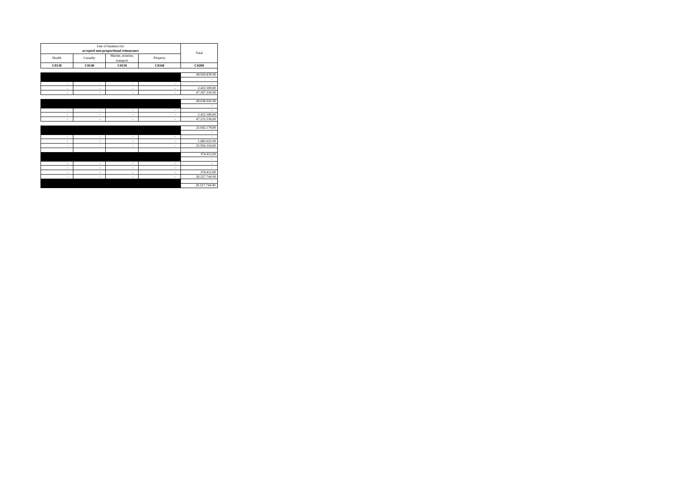|        |          | Line of business for:<br>accepted non-proportional reinsurance |          |                               |
|--------|----------|----------------------------------------------------------------|----------|-------------------------------|
| Health | Casualty | Marine, aviation,<br>transport                                 | Property | Total                         |
| C0130  | C0140    | C0150                                                          | C0160    | C0200                         |
|        |          |                                                                |          |                               |
|        |          |                                                                |          | 49.929.839 00                 |
| ÷      | ×,       | ٠                                                              | ٠        | ٠<br>×,                       |
| ä,     | ×,       | ä,                                                             | ٠        | 2.422.509,00                  |
| ÷      | ×,       | ÷                                                              | ٠        | 47.507.330 00                 |
|        |          |                                                                |          |                               |
|        |          |                                                                |          | 49.638.045 00                 |
|        |          |                                                                |          |                               |
| ÷      | ٠        | ٠                                                              | ٠        |                               |
| ÷      | ٠        | ٠                                                              | ٠        | 2.422.509,00<br>47.215.536,00 |
| ÷      | ×,       | ÷                                                              | ٠        |                               |
|        |          |                                                                |          | 25.642.179,00                 |
|        |          |                                                                |          |                               |
| ÷      | ٠        | ÷                                                              | ٠        |                               |
| ÷      | ×,       | ÷                                                              | ٠        | 1.685.625 00                  |
| ÷      | ×,       | ٠                                                              | ٠        | 23.956.554,00                 |
|        |          |                                                                |          |                               |
|        |          |                                                                |          | 374.412,00                    |
| ÷      | ×,       | ٠                                                              | ٠        | ٠<br>×,                       |
| ÷      | ×,       | ÷                                                              | ٠        |                               |
| ÷      | ×,       | ÷                                                              | ٠        | 374.412,00                    |
| ÷      | ×,       | ٠                                                              | ٠        | 20.527.744 00                 |
|        |          |                                                                |          |                               |
|        |          |                                                                |          | 20.527.744 00                 |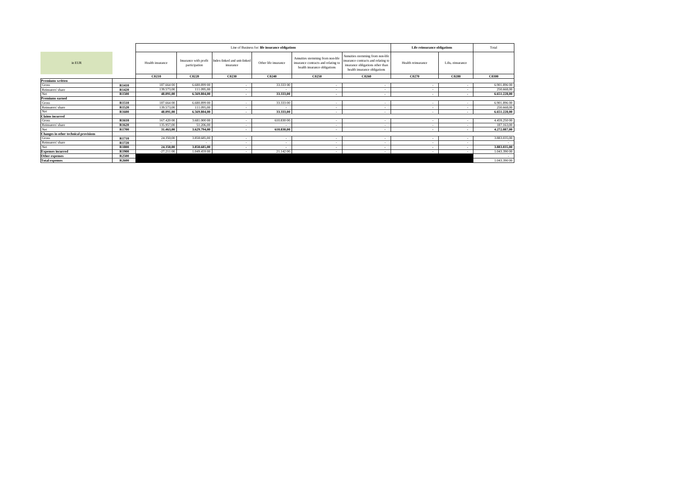|                                       |                   |                  |                                        |                                           | Line of Business for: life insurance obligations |                                                                                                         |                                                                                                                                             | Life reinsurance obligations |                          | Total        |
|---------------------------------------|-------------------|------------------|----------------------------------------|-------------------------------------------|--------------------------------------------------|---------------------------------------------------------------------------------------------------------|---------------------------------------------------------------------------------------------------------------------------------------------|------------------------------|--------------------------|--------------|
| in EUR                                |                   | Health insurance | Insurance with profit<br>participation | Index-linked and unit-linked<br>insurance | Other life insurance                             | Annuities stemming from non-life<br>insurance contracts and relating to<br>health insurance obligations | Annuities stemming from non-life<br>insurance contracts and relating to<br>insurance obligations other than<br>health insurance obligations | Health reinsurance           | Life-einsurance          |              |
|                                       |                   | C0210            | C0220                                  | C0230                                     | C0240                                            | C0250                                                                                                   | C0260                                                                                                                                       | C0270                        | C0280                    | C0300        |
| <b>Premiums</b> written               |                   |                  |                                        |                                           |                                                  |                                                                                                         |                                                                                                                                             |                              |                          |              |
| <b>Gross</b>                          | R1410             | 187.664 00       | 6.680.899 00                           |                                           | 33.333 00                                        | . .                                                                                                     | - 2                                                                                                                                         | <b>1999</b>                  | ٠.                       | 6.901.896 00 |
| Reinsurers' share                     | R1420             | 139.573,00       | 111.095,00                             |                                           |                                                  |                                                                                                         | - 1                                                                                                                                         | <b>1999</b>                  | $\sim$                   | 250,668,00   |
| Net                                   | R <sub>1500</sub> | 48.091.00        | 6.569.804.00                           | $\blacksquare$                            | 33,333,00                                        | $\sim$                                                                                                  | $\overline{\phantom{a}}$                                                                                                                    | $\sim$                       | $\overline{\phantom{a}}$ | 6.651.228,00 |
| <b>Premiums earned</b>                |                   |                  |                                        |                                           |                                                  |                                                                                                         |                                                                                                                                             |                              |                          |              |
| <b>Gross</b>                          | R1510             | 187.664 00       | 6.680.899 00                           | ٠                                         | 33.333 00                                        | ٠.                                                                                                      | $\sim$                                                                                                                                      | $\sim$                       | $\sim$                   | 6.901.896 00 |
| Reinsurers' share                     | R <sub>1520</sub> | 139.573,00       | 111.095,00                             |                                           | $\overline{\phantom{a}}$                         |                                                                                                         | - 1                                                                                                                                         | . .                          | $\sim$                   | 250.668,00   |
| Net                                   | <b>R1600</b>      | 48.091.00        | 6.569.804,00                           |                                           | 33,333,00                                        | $\overline{\phantom{a}}$                                                                                | ۰.                                                                                                                                          | $\blacksquare$               | $\overline{\phantom{a}}$ | 6.651.228,00 |
| <b>Claims</b> incurred                |                   |                  |                                        |                                           |                                                  |                                                                                                         |                                                                                                                                             |                              |                          |              |
| <b>Gross</b>                          | R1610             | 167.420 00       | 3.681.000 00                           | ۰.                                        | 610,830 00                                       |                                                                                                         | . .                                                                                                                                         | <b>1999</b>                  | $\sim$                   | 4.459.250 00 |
| Reinsurers' share                     | R <sub>1620</sub> | 135.957,00       | 51.206,00                              |                                           |                                                  | $\sim$                                                                                                  | $\sim$                                                                                                                                      |                              | $\sim$                   | 187.163,00   |
| Net                                   | <b>R1700</b>      | 31.463,00        | 3.629.794.00                           | $\overline{\phantom{a}}$                  | 610.830,00                                       | $\sim$                                                                                                  | $\sim$                                                                                                                                      | $\sim$                       | $\overline{\phantom{a}}$ | 4.272.087,00 |
| Changes in other technical provisions |                   |                  |                                        |                                           |                                                  |                                                                                                         |                                                                                                                                             |                              |                          |              |
| <b>Gross</b>                          | R1710             | 24.350,00        | 3.858.685,00                           | $\sim$                                    | . п.                                             | . .                                                                                                     | . .                                                                                                                                         | <b>1999</b>                  | $\sim$                   | 3.883.035,00 |
| Reinsurers' share                     | R1720             | $\sim$           | 14                                     | $\overline{\phantom{a}}$                  | $\overline{\phantom{a}}$                         |                                                                                                         | $\sim$                                                                                                                                      | $\sim$                       | $\sim$                   | $\sim$       |
| Net                                   | <b>R1800</b>      | 24.350,00        | 3,858,685,00                           | $\overline{\phantom{a}}$                  |                                                  | $\blacksquare$                                                                                          | $\sim$                                                                                                                                      | $\sim$                       | $\overline{\phantom{a}}$ | 3.883.035,00 |
| <b>Expenses incurred</b>              | <b>R1900</b>      | $-27.21100$      | 1.049.459 00                           |                                           | 21.142 00                                        |                                                                                                         | - 1                                                                                                                                         | $\sim$                       | - 3                      | 1.043.390 00 |
| Other expenses                        | <b>R2500</b>      |                  |                                        |                                           |                                                  |                                                                                                         |                                                                                                                                             |                              |                          | $\sim$       |
| <b>Total expenses</b>                 | R <sub>2600</sub> |                  |                                        |                                           |                                                  |                                                                                                         |                                                                                                                                             |                              |                          | 1.043.390 00 |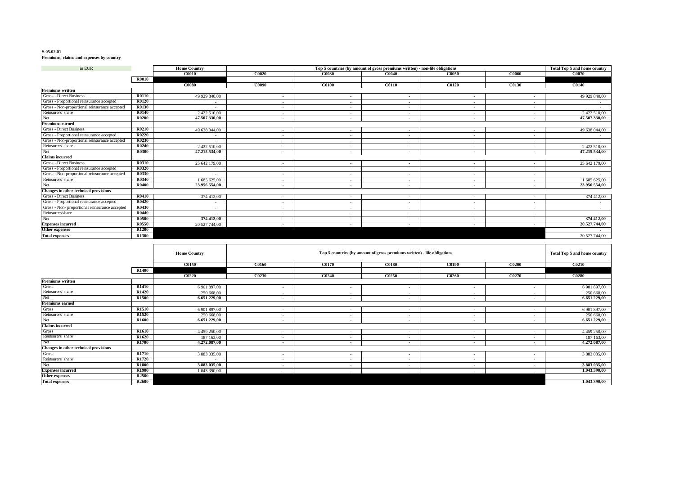### **S.05.02.01**

**Premiums, claims and expenses by country**

| in EUR                                        |              | <b>Home Country</b> |        | Top 5 countries (by amount of gross premiums written) - non-life obligations |              |                          |                          |               |  |  |  |
|-----------------------------------------------|--------------|---------------------|--------|------------------------------------------------------------------------------|--------------|--------------------------|--------------------------|---------------|--|--|--|
|                                               |              | <b>C0010</b>        | C0020  | <b>C0030</b>                                                                 | C0040        | C0050                    | C0060                    | C0070         |  |  |  |
|                                               | <b>R0010</b> |                     |        |                                                                              |              |                          |                          |               |  |  |  |
|                                               |              | <b>C0080</b>        | C0090  | <b>C0100</b>                                                                 | <b>C0110</b> | <b>C0120</b>             | C0130                    | <b>C0140</b>  |  |  |  |
| <b>Premiums</b> written                       |              |                     |        |                                                                              |              |                          |                          |               |  |  |  |
| Gross - Direct Business                       | <b>R0110</b> | 49 929 840,00       |        |                                                                              | $\sim$       |                          |                          | 49 929 840,00 |  |  |  |
| Gross - Proportional reinsurance accepted     | <b>R0120</b> | $\sim$              |        | ٠                                                                            | $\sim$       |                          | ٠                        |               |  |  |  |
| Gross - Non-proportional reinsurance accepted | R0130        | $\sim$              | $\sim$ | $\overline{\phantom{a}}$                                                     | $\sim$       |                          | $\overline{\phantom{a}}$ |               |  |  |  |
| Reinsurers' share                             | R0140        | 2 422 510.00        |        | ٠                                                                            | $\sim$       |                          |                          | 2 422 510.00  |  |  |  |
| Net                                           | <b>R0200</b> | 47.507.330,00       |        | $\blacksquare$                                                               | $\sim$       |                          |                          | 47.507.330,00 |  |  |  |
| <b>Premiums earned</b>                        |              |                     |        |                                                                              |              |                          |                          |               |  |  |  |
| Gross - Direct Business                       | <b>R0210</b> | 49 638 044,00       | $\sim$ | ٠                                                                            | $\sim$       |                          |                          | 49 638 044,00 |  |  |  |
| Gross - Proportional reinsurance accepted     | <b>R0220</b> | $\sim$              |        |                                                                              | $\sim$       |                          |                          | $\sim$        |  |  |  |
| Gross - Non-proportional reinsurance accepted | <b>R0230</b> | $\sim$              |        | $\sim$                                                                       | $\sim$       |                          | ۰.                       |               |  |  |  |
| Reinsurers' share                             | R0240        | 2 422 510.00        |        | $\sim$                                                                       | $\sim$       |                          |                          | 2 422 510,00  |  |  |  |
| Net                                           | <b>R0300</b> | 47.215.534,00       | $\sim$ | $\blacksquare$                                                               | $\sim$       |                          |                          | 47.215.534,00 |  |  |  |
| <b>Claims</b> incurred                        |              |                     |        |                                                                              |              |                          |                          |               |  |  |  |
| <b>Gross - Direct Business</b>                | R0310        | 25 642 179,00       |        |                                                                              |              |                          |                          | 25 642 179,00 |  |  |  |
| Gross - Proportional reinsurance accepted     | <b>R0320</b> | $\sim$              |        | $\overline{\phantom{a}}$                                                     | $\sim$       | . .                      | $\sim$                   | $\sim$        |  |  |  |
| Gross - Non-proportional reinsurance accepted | <b>R0330</b> | $\sim$              | $\sim$ | $\overline{\phantom{a}}$                                                     | $\sim$       | $\overline{\phantom{a}}$ | $\sim$                   |               |  |  |  |
| Reinsurers' share                             | <b>R0340</b> | 1 685 625,00        | $\sim$ | $\overline{\phantom{a}}$                                                     | $\sim$       | $\sim$                   | $\overline{\phantom{a}}$ | 1 685 625,00  |  |  |  |
| Net                                           | <b>R0400</b> | 23.956.554.00       | $\sim$ | $\overline{\phantom{a}}$                                                     | $\sim$       |                          | $\blacksquare$           | 23.956.554,00 |  |  |  |
| Changes in other technical provisions         |              |                     |        |                                                                              |              |                          |                          |               |  |  |  |
| <b>Gross - Direct Business</b>                | <b>R0410</b> | 374 412,00          | $\sim$ | $\overline{\phantom{a}}$                                                     | $\sim$       |                          | $\sim$                   | 374 412,00    |  |  |  |
| Gross - Proportional reinsurance accepted     | R0420        | $\sim$              | $\sim$ | $\overline{\phantom{a}}$                                                     | $\sim$       |                          | $\sim$                   |               |  |  |  |
| Gross - Non-proportional reinsurance accepted | <b>R0430</b> | $\sim$              |        | ٠                                                                            | $\sim$       |                          |                          |               |  |  |  |
| Reinsurers'share                              | R0440        | $\sim$              |        |                                                                              | $\sim$       |                          |                          |               |  |  |  |
| Net                                           | <b>R0500</b> | 374.412.00          | $\sim$ | $\overline{\phantom{a}}$                                                     | $\sim$       | $\overline{\phantom{a}}$ | $\sim$                   | 374.412.00    |  |  |  |
| <b>Expenses incurred</b>                      | R0550        | 20 527 744,00       | $\sim$ | $\overline{\phantom{a}}$                                                     | $\sim$       |                          |                          | 20.527.744,00 |  |  |  |
| Other expenses                                | <b>R1200</b> |                     |        |                                                                              |              |                          |                          |               |  |  |  |
| <b>Total expenses</b>                         | R1300        |                     |        |                                                                              |              |                          |                          | 20 527 744,00 |  |  |  |

|                                       |                   | <b>Home Country</b> |                          | Top 5 countries (by amount of gross premiums written) - life obligations<br>Total Top 5 and home country |                          |                          |        |              |  |  |  |
|---------------------------------------|-------------------|---------------------|--------------------------|----------------------------------------------------------------------------------------------------------|--------------------------|--------------------------|--------|--------------|--|--|--|
|                                       |                   | <b>C0150</b>        | <b>C0160</b>             | <b>C0170</b>                                                                                             | <b>C0180</b>             | <b>C0190</b>             | C0200  | <b>C0210</b> |  |  |  |
|                                       | <b>R1400</b>      |                     |                          |                                                                                                          |                          |                          |        |              |  |  |  |
|                                       |                   | C0220               | C0230                    | C0240                                                                                                    | C0250                    | C0260                    | C0270  | <b>C0280</b> |  |  |  |
| <b>Premiums</b> written               |                   |                     |                          |                                                                                                          |                          |                          |        |              |  |  |  |
| Gross                                 | R <sub>1410</sub> | 6 901 897,00        | $\overline{\phantom{a}}$ |                                                                                                          | $\overline{\phantom{a}}$ | ٠.                       |        | 6 901 897,00 |  |  |  |
| Reinsurers' share                     | R <sub>1420</sub> | 250 668,00          |                          | $\sim$                                                                                                   | $\sim$                   | $\overline{\phantom{a}}$ |        | 250 668,00   |  |  |  |
| Net                                   | R <sub>1500</sub> | 6.651.229,00        | $\overline{\phantom{a}}$ | $\overline{\phantom{a}}$                                                                                 | $\sim$                   | $\overline{\phantom{a}}$ |        | 6.651.229,00 |  |  |  |
| <b>Premiums earned</b>                |                   |                     |                          |                                                                                                          |                          |                          |        |              |  |  |  |
| Gross                                 | <b>R1510</b>      | 6 901 897,00        |                          |                                                                                                          | ۰.                       |                          |        | 6 901 897,00 |  |  |  |
| Reinsurers' share                     | R <sub>1520</sub> | 250 668,00          | $\overline{\phantom{a}}$ | $\overline{\phantom{a}}$                                                                                 | $\sim$                   | $\overline{\phantom{a}}$ |        | 250 668,00   |  |  |  |
| Net                                   | <b>R1600</b>      | 6.651.229,00        | $\overline{\phantom{a}}$ | $\blacksquare$                                                                                           | $\sim$                   | $\overline{\phantom{a}}$ | $\sim$ | 6.651.229,00 |  |  |  |
| <b>Claims</b> incurred                |                   |                     |                          |                                                                                                          |                          |                          |        |              |  |  |  |
| Gross                                 | R <sub>1610</sub> | 4 4 5 9 2 5 0 0 0   | $\overline{\phantom{a}}$ | $\overline{\phantom{a}}$                                                                                 | $\sim$                   | $\overline{\phantom{a}}$ |        | 4 459 250,00 |  |  |  |
| Reinsurers' share                     | R <sub>1620</sub> | 187 163,00          | $\overline{\phantom{a}}$ |                                                                                                          | $\sim$                   | $\overline{\phantom{a}}$ |        | 187 163,00   |  |  |  |
| Net                                   | R <sub>1700</sub> | 4,272,087,00        | $\overline{\phantom{a}}$ |                                                                                                          | $\overline{\phantom{a}}$ |                          |        | 4,272,087,00 |  |  |  |
| Changes in other technical provisions |                   |                     |                          |                                                                                                          |                          |                          |        |              |  |  |  |
| Gross                                 | R <sub>1710</sub> | 3 883 035,00        | $\overline{\phantom{a}}$ |                                                                                                          | $\overline{\phantom{a}}$ | $\overline{\phantom{a}}$ |        | 3 883 035,00 |  |  |  |
| Reinsurers' share                     | R <sub>1720</sub> | $\sim$              | $\overline{\phantom{a}}$ | $\overline{\phantom{a}}$                                                                                 | $\sim$                   | $\overline{\phantom{a}}$ | $\sim$ |              |  |  |  |
| Net                                   | R <sub>1800</sub> | 3.883.035,00        | $\overline{\phantom{a}}$ | $\overline{\phantom{a}}$                                                                                 | $\sim$                   | $\overline{\phantom{a}}$ | $\sim$ | 3.883.035,00 |  |  |  |
| <b>Expenses incurred</b>              | R <sub>1900</sub> | 1 043 390,00        | $\overline{\phantom{a}}$ | $\overline{\phantom{a}}$                                                                                 | $\sim$                   | $\overline{\phantom{a}}$ |        | 1.043.390,00 |  |  |  |
| <b>Other expenses</b>                 | R <sub>2500</sub> |                     |                          |                                                                                                          |                          |                          |        | $\sim$       |  |  |  |
| <b>Total expenses</b>                 | <b>R2600</b>      |                     |                          |                                                                                                          |                          |                          |        | 1.043.390,00 |  |  |  |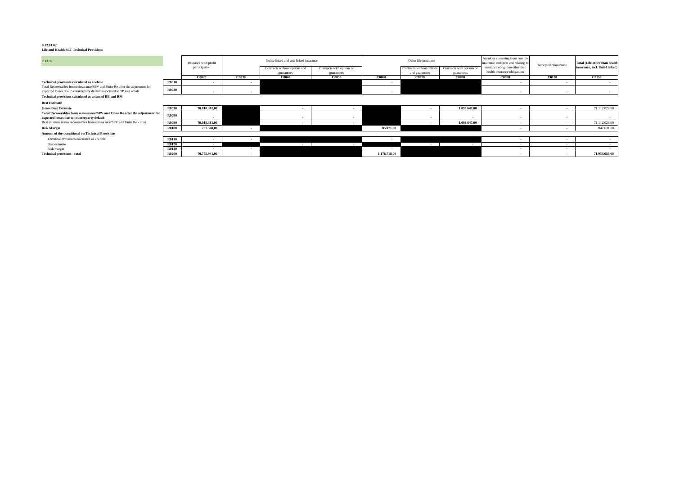**S.12.01.02 Life and Health SLT Technical Provisions**

| in EUR                                                                                                                                                    |              | Insurance with profit |              | Index-linked and unit-linked insurance |                           |              | Other life insurance      |                           | Annuities stemming from non-life<br>insurance contracts and relating t | Accepted reinsurance | <b>Total (Life other than health</b> |
|-----------------------------------------------------------------------------------------------------------------------------------------------------------|--------------|-----------------------|--------------|----------------------------------------|---------------------------|--------------|---------------------------|---------------------------|------------------------------------------------------------------------|----------------------|--------------------------------------|
|                                                                                                                                                           |              | participation         |              | Contracts without options and          | Contracts with options or |              | Contracts without options | Contracts with options or | insurance obligation other than<br>health insurance obligations        |                      | insurance, incl. Unit-Linked)        |
|                                                                                                                                                           |              |                       |              | guarantees                             | guarantees                |              | and guarantees            | guarantees                |                                                                        |                      |                                      |
|                                                                                                                                                           |              | C0020                 | <b>C0030</b> | C0040                                  | <b>C0050</b>              | C0060        | C0070                     | <b>C0080</b>              | C0090                                                                  | C0100                | <b>C0150</b>                         |
| Technical provisions calculated as a whole                                                                                                                | <b>R0010</b> | $\sim$                |              |                                        |                           |              |                           |                           | $\overline{\phantom{a}}$                                               |                      |                                      |
| Total Recoverables from reinsurance/SPV and Finite Re after the adjustment for<br>expected losses due to counterparty default associated to TP as a whole | <b>R0020</b> |                       |              |                                        |                           |              |                           |                           |                                                                        |                      |                                      |
| Technical provisions calculated as a sum of BE and RM                                                                                                     |              |                       |              |                                        |                           |              |                           |                           |                                                                        |                      |                                      |
| <b>Best Estimate</b>                                                                                                                                      |              |                       |              |                                        |                           |              |                           |                           |                                                                        |                      |                                      |
| <b>Gross Best Estimate</b>                                                                                                                                | <b>R0030</b> | 70.018.381.00         |              |                                        |                           |              |                           | 1.093.647.00              |                                                                        |                      | 71.112.028,00                        |
| Total Recoverables from reinsurance/SPV and Finite Re after the adjustment for<br>expected losses due to counterparty default                             | <b>R0080</b> | $\sim$                |              |                                        |                           |              | $\sim$                    |                           | $\overline{\phantom{a}}$                                               | $\sim$               | $\sim$                               |
| Best estimate minus recoverables from reinsurance/SPV and Finite Re - total                                                                               | <b>R0090</b> | 70.018.381.00         |              |                                        | $\sim$                    |              |                           | 1.093.647,00              | $\overline{\phantom{a}}$                                               | $\sim$               | 71.112.028,00                        |
| <b>Risk Margin</b>                                                                                                                                        | R0100        | 757.560,00            |              |                                        |                           | 85.071,00    |                           |                           |                                                                        |                      | 842.631,00                           |
| <b>Amount of the transitional on Technical Provisions</b>                                                                                                 |              |                       |              |                                        |                           |              |                           |                           |                                                                        |                      |                                      |
| Technical Provisions calculated as a whole                                                                                                                | <b>R0110</b> |                       |              |                                        |                           |              |                           |                           |                                                                        |                      |                                      |
| Best estimate                                                                                                                                             | R0120        | $\blacksquare$        |              |                                        |                           |              |                           |                           | $\overline{\phantom{a}}$                                               | $\sim$               |                                      |
| Risk margin                                                                                                                                               | R0130        |                       | $\sim$       |                                        |                           |              |                           |                           |                                                                        |                      |                                      |
| <b>Technical provisions - total</b>                                                                                                                       | <b>R0200</b> | 70.775.941,00         |              |                                        |                           | 1.178.718,00 |                           |                           |                                                                        | $\sim$               | 71.954.659,00                        |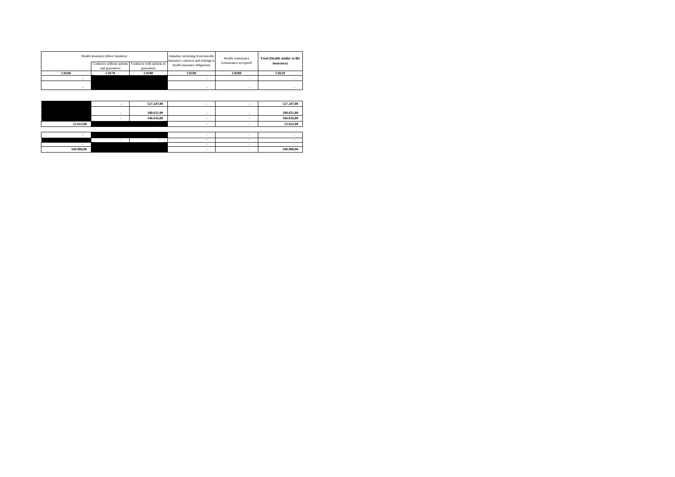|              | Health insurance (direct business) |                                                     | Annuities stemming from non-life<br>insurance contracts and relating to | Health reinsurance     | <b>Total (Health similar to life</b> |
|--------------|------------------------------------|-----------------------------------------------------|-------------------------------------------------------------------------|------------------------|--------------------------------------|
|              |                                    | Contracts without options Contracts with options or | health insurance obligations                                            | (reinsurance accepted) | insurance)                           |
|              | and guarantees                     | guarantees                                          |                                                                         |                        |                                      |
| <b>C0160</b> | C0170                              | <b>C0180</b>                                        | <b>C0190</b>                                                            | <b>C0200</b>           | <b>C0210</b>                         |
|              |                                    |                                                     |                                                                         |                        |                                      |
|              |                                    |                                                     | ۰                                                                       |                        |                                      |

|           | 527,247,00 |  | 527.247,00 |
|-----------|------------|--|------------|
|           |            |  |            |
|           | 180,631,00 |  | 180,631,00 |
|           | 346,616,00 |  | 346.616,00 |
| 22.653.00 |            |  | 22.653,00  |
|           |            |  |            |

| 540.000.00 |  |  | 549.900.00 |
|------------|--|--|------------|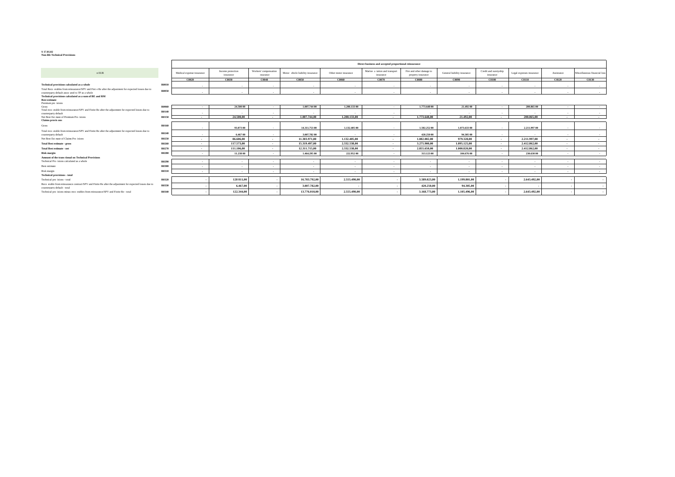#### **S 17.01.02 Non-life Technical Provisions**

|                                                                                                                                         |       |                           |                                |                                   |                                  |                       | Direct business and accepted proportional reinsurance |                                                |                             |                                    |                          |            |                              |
|-----------------------------------------------------------------------------------------------------------------------------------------|-------|---------------------------|--------------------------------|-----------------------------------|----------------------------------|-----------------------|-------------------------------------------------------|------------------------------------------------|-----------------------------|------------------------------------|--------------------------|------------|------------------------------|
| n EUR                                                                                                                                   |       | Medical expense insurance | Income protection<br>insurance | Workers' compensation<br>nsurance | Motor chicle liability insurance | Other motor insurance | Marine a iation and transport<br>insurance            | Fire and other damage to<br>property insurance | General liability insurance | Credit and suretyship<br>insurance | Legal expenses insurance | Assistance | Miscellaneous financial loss |
|                                                                                                                                         |       | C0020                     | C0030                          | C0040                             | C0050                            | <b>C0060</b>          | C0070                                                 | C0080                                          | C0090                       | <b>C0100</b>                       | C0110                    | C0120      | <b>C0130</b>                 |
| Technical provisions calculated as a whole                                                                                              | R0010 | $\sim$                    | $\cdot$                        |                                   |                                  |                       |                                                       | $\overline{\phantom{a}}$                       | $\sim$                      |                                    |                          | $\sim$     | $\sim$                       |
| Total Reco erables from reinsurance/SPV and Fini e Re after the adjustment for expected losses due to                                   | R0050 |                           |                                |                                   |                                  |                       |                                                       |                                                |                             |                                    |                          |            |                              |
| counterparty default assoc ated to TP as a whole                                                                                        |       |                           |                                | $\sim$                            | $\mathbf{r}$                     |                       |                                                       | $\mathbf{r}$                                   | $\sim$                      |                                    |                          |            | $\sim$                       |
| Technical provisions calculated as a sum of BE and RM                                                                                   |       |                           |                                |                                   |                                  |                       |                                                       |                                                |                             |                                    |                          |            |                              |
| <b>Best estimate</b><br>Premium pro isions                                                                                              |       |                           |                                |                                   |                                  |                       |                                                       |                                                |                             |                                    |                          |            |                              |
| Gross                                                                                                                                   | R0060 | $\sim$                    | 24,500 00                      | $\sim$                            | 1.007.744.00                     | 1.200.133.00          | $\sim$                                                | 1,773,648 00                                   | 21,492 00                   | $\sim$                             | 200.865.00               | $\sim$     | $\sim$                       |
| Total reco erable from reinsurance/SPV and Finite Re after the adjustment for expected losses due to                                    | R0140 | $\mathbf{r}$              |                                | $\sim$                            |                                  |                       |                                                       | $\sim$                                         | $\sim$                      | ۰.                                 |                          | $\sim$     | $\sim$                       |
| counterparty default<br>Net Best Est mate of Premium Pro isions                                                                         | R0150 | $\sim$                    | 24.500,00                      | $\sim$                            | 1,007,744,00                     | 1.200.133,00          | $\sim$                                                | 1,773,648,00                                   | 21,492,00                   | $\sim$                             | 200,865,00               | $\sim$     | $\sim$                       |
| Claims provis ons                                                                                                                       |       |                           |                                |                                   |                                  |                       |                                                       |                                                |                             |                                    |                          |            |                              |
| Gross                                                                                                                                   | R0160 |                           | 93,073 00                      |                                   | 14.311.753 00                    | 1,132,405 00          |                                                       | 1,502,252 00                                   | 1,073,633 00                |                                    | 2.211.997 00             |            |                              |
| Total reco erable from reinsurance/SPV and Finite Re after the adjustment for expected losses due to                                    |       | $\mathbf{r}$              |                                | $\sim$                            |                                  |                       | $\sim$                                                |                                                |                             | $\sim$                             |                          | $\sim$     | $\sim$                       |
| counterparty default                                                                                                                    | R0240 | $\mathbf{r}$              | 6,467 00                       | $\sim$                            | 3.007.782.00                     |                       |                                                       | 420,250 00                                     | 94,305 00                   | $\sim$                             |                          | $\sim$     | $\sim$                       |
| Net Best Est mate of Claims Pro isions                                                                                                  | R0250 | $\sim$                    | 86,606,00                      | $\overline{\phantom{a}}$          | 11.303.971.00                    | 1.132,405,00          | $\sim$                                                | 1.082.002.00                                   | 979,328,00                  | $\sim$                             | 2.211.997.00             | $\sim$     | $\sim$                       |
| <b>Total Best estimate - gross</b>                                                                                                      | R0260 | $\sim$                    | 117,573,00                     | $\cdot$                           | 15.319.497.00                    | 2.332.538.00          | $\overline{\phantom{a}}$                              | 3.275.900.00                                   | 1,095,125,00                | $\sim$                             | 2,412,862,00             | $\sim$     | $\sim$                       |
| <b>Total Best estimate - net</b>                                                                                                        | R0270 | $\sim$                    | 111,106,00                     | $\cdot$                           | 12,311,715,00                    | 2.332.538.00          |                                                       | 2,855,650,00                                   | 1,000,820,00                | $\overline{\phantom{a}}$           | 2,412,862,00             | $\sim$     | $\sim$                       |
| Risk margin                                                                                                                             | R0280 | $\sim$                    | 11.238 00                      | $\sim$                            | 1,464,295 00                     | 222,952 00            | $\overline{\phantom{a}}$                              | 313,123 00                                     | 104,676 00                  |                                    | 230,630 00               | $\sim$     | $\sim$                       |
| Amount of the trans tional on Technical Provisions                                                                                      |       |                           |                                |                                   |                                  |                       |                                                       |                                                |                             |                                    |                          |            |                              |
| Technical Pro isions calculated as a whole                                                                                              | R0290 |                           |                                |                                   | $\sim$                           | $\sim$                | $\overline{\phantom{a}}$                              | $\mathbf{r}$                                   | $\sim$                      |                                    | $\sim$                   | ۰.         | $\overline{\phantom{a}}$     |
| Best estimate                                                                                                                           | R0300 | $\sim$                    |                                | $\sim$                            | $\sim$                           | $\sim$                |                                                       | $\sim$                                         | $\sim$                      | . .                                | $\sim$                   |            | $\sim$                       |
| Risk margin                                                                                                                             | R0310 | $\mathbf{r}$              | $\sim$                         | $\sim$                            | $\sim$                           | $\sim$                | $\sim$                                                | $\sim$                                         | $\sim$                      |                                    | $\sim$                   | $\sim$     | $\sim$                       |
| <b>Technical provisions - total</b>                                                                                                     |       |                           |                                |                                   |                                  |                       |                                                       |                                                |                             |                                    |                          |            |                              |
| Technical pro isions - total                                                                                                            | R0320 |                           | 128 811.00                     |                                   | 16,783,792,00                    | 2,555,490,00          |                                                       | 3,589,023,00                                   | 1,199,801,00                |                                    | 2,643,492,00             |            |                              |
| Reco erable from reinsurance contract/SPV and Finite Re after the adjustment for expected losses due to<br>counterparty default - total | R0330 |                           | 6,467,00                       |                                   | 3,007,782,00                     |                       |                                                       | 420,250,00                                     | 94.305,00                   |                                    |                          |            | $\sim$                       |
| Technical pro isions minus reco erables from reinsurance/SPV and Finite Re - total                                                      | R0340 |                           | 122,344,00                     |                                   | 13.776.010,00                    | 2,555,490,00          |                                                       | 3.168,773,00                                   | 1.105.496.00                |                                    | 2,643,492,00             |            |                              |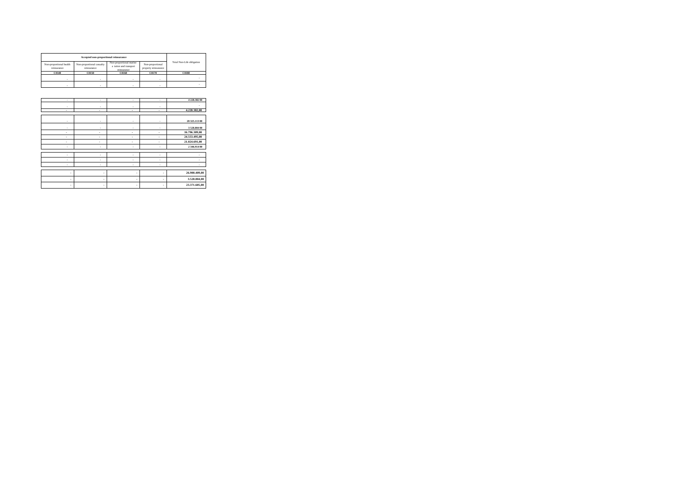|                                        | Accepted non-proportional reinsurance    |                                                                  |                                          |                           |
|----------------------------------------|------------------------------------------|------------------------------------------------------------------|------------------------------------------|---------------------------|
| Non-proportional health<br>reinsurance | Non-proportional casualty<br>reinsurance | Non-proportional marine<br>a iation and transport<br>reinsurance | Non-proportional<br>property reinsurance | Total Non-Life obligation |
| C0140                                  | <b>C0150</b>                             | <b>C0160</b>                                                     | C0170                                    | <b>C0180</b>              |
|                                        |                                          |                                                                  |                                          |                           |
|                                        |                                          |                                                                  |                                          |                           |

| 4228,38200    | $\bullet$                | $\epsilon$ | ٠                        | $\epsilon$               |
|---------------|--------------------------|------------|--------------------------|--------------------------|
| ٠             |                          |            |                          |                          |
|               | ٠                        | ٠          | ٠                        | ٠                        |
| 4.228.382,00  | ٠                        | ۰          | ٠                        | ٠                        |
|               |                          |            |                          |                          |
| 20 325,113 00 | $\bullet$                | $\epsilon$ | $\bullet$                | $\epsilon$               |
| 3528,804 00   | $\bullet$                | ٠          | ٠                        | $\epsilon$               |
| 16.796.309,00 | ٠                        | ۰          | ٠                        | $\overline{\phantom{a}}$ |
| 24.553.495,00 | ٠                        | ٠          | ٠                        | $\overline{\phantom{a}}$ |
| 21.024.691,00 | ٠                        | ٠          | ٠                        | $\overline{\phantom{a}}$ |
| 2 346.914 00  | $\bullet$                | ٠          | ٠                        | $\epsilon$               |
|               |                          |            |                          |                          |
| $\bullet$     | ٠                        | ٠          | ٠                        | ٠                        |
| ٠             | ٠                        | ٠          | ٠                        | ٠                        |
| $\bullet$     | ٠                        | ٠          | ٠                        | $\bullet$                |
|               |                          |            |                          |                          |
| 26.900.409,00 | $\overline{\phantom{a}}$ | ٠          | $\overline{\phantom{a}}$ | ٠                        |
| 3.528.804,00  | $\overline{\phantom{a}}$ | ۰          | ٠                        | ٠                        |
| 23.371.605,00 | $\overline{\phantom{a}}$ | ٠          | ٠                        | ٠                        |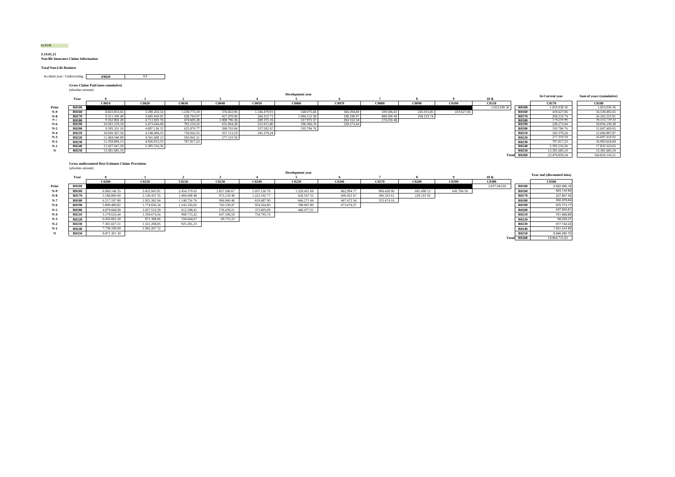### In EUR

#### **S.19.01.21 Non-life Insurance Claims Information**

**Total Non-Life Business**

**Z0020**Accident year / Underwriting **AY** 

**Gross Claims Paid (non-cumulative)** (absolute amount)

|       | (absolute amount) |               |                 |              |            |              |                         |            |              |            |            |              |              |                 |                           |
|-------|-------------------|---------------|-----------------|--------------|------------|--------------|-------------------------|------------|--------------|------------|------------|--------------|--------------|-----------------|---------------------------|
|       | Year              |               |                 |              |            |              | <b>Development year</b> |            |              |            |            | 10 &         |              | In Current year | Sum of years (cumulative) |
|       |                   | C0010         | C0020           | C0030        | C0046      | C0050        | C006                    | C0070      | <b>C0080</b> | C0090      | C0100      | <b>C0110</b> |              | C0170           | <b>C0180</b>              |
| Prior | <b>R0100</b>      |               |                 |              |            |              |                         |            |              |            |            | 1.053.0383   | <b>R0100</b> | 1.053.038.36    | 1.053.038.36              |
| N-9   | <b>R0160</b>      | 8.843.853,65  | 3.298.202,54    | 1.238.773.18 | 376,663,96 | 1.146.479.91 | 548.075,68              | 304.294.80 | 109.506,02   | 245.015.85 | 419.627,06 |              | <b>R0160</b> | 419,627,06      | 16.530.492.65             |
| $N-8$ | <b>R0170</b>      | 9.311.109 40  | 3.605.459 05    | 638,743.07   | 457,470 00 | 264.315 71   | 1.084.215 38            | 198.19097  | 408.509 49   | 294.21074  |            |              | <b>R0170</b> | 294.21074       | 16.262.22381              |
| N-7   | <b>R0180</b>      | 9 332 802 20  | 4 7 1 1 8 3 5 7 | 47460528     | 008 796 36 | 269 375 16   | 317 975 57              | 264 152 54 | 174 216 46   |            |            |              | R0180        | 174.21040       | 16.555.759.55             |
| $N-6$ | <b>R0190</b>      | 10.591.519,18 | 5.473.644.48    | 782.510,32   | 431.064,38 | 252.911,80   | 296.306,78              | 228.273,44 |              |            |            |              | <b>R0190</b> | 228.273,44      | 18.056.230,38             |
| $N-5$ | <b>R0200</b>      | 9.395.331 10  | 4.897.13631     | 625.070 77   | 398,703 84 | 337,582.87   | 193,784 76              |            |              |            |            |              | <b>R0200</b> | 193.78476       | 15.847.609 65             |
| $N-4$ | <b>R0210</b>      | 10.030.367.56 | 4.148.004.33    | 720.042.55   | 357.113,19 | 345.370.24   |                         |            |              |            |            |              | <b>R0210</b> | 345.370.24      | 15.600.897.87             |
| $N-3$ | <b>R0220</b>      | 11.484.548.09 | 4.341.608 1     | 593.942 21   | 277.319 59 |              |                         |            |              |            |            |              | <b>R0220</b> | 277.319 59      | 16.697.41802              |
| $N-2$ | <b>R0230</b>      | 11.358.894.13 | 4.926.913.33    | 707.817.23   |            |              |                         |            |              |            |            |              | <b>R0230</b> | 707.817.23      | 16.993.624.69             |
| $N-1$ | <b>R0240</b>      | 12.437.647.29 | 5.395.516.36    |              |            |              |                         |            |              |            |            |              | <b>R0240</b> | 5.395.516,36    | 17.833.163,65             |
|       | <b>R0250</b>      | 13.381.685,10 |                 |              |            |              |                         |            |              |            |            |              | <b>R0250</b> | 13.381.685.10   | 13.381.685.10             |
|       |                   |               |                 |              |            |              |                         |            |              |            |            | Total        | <b>R0260</b> | 22.470.859.34   | 164.810.143,51            |

#### **Gross undiscounted Best Estimate Claims Provisions** (absolute amount)

| Development year |              |              |              |              |              | Year end (discounted data) |              |            |            |              |            |              |              |               |
|------------------|--------------|--------------|--------------|--------------|--------------|----------------------------|--------------|------------|------------|--------------|------------|--------------|--------------|---------------|
|                  | Year         |              |              |              |              |                            |              |            |            |              |            | $10 \&$      |              |               |
|                  |              | <b>C0200</b> | <b>C0210</b> | C0220        | C0230        | C0240                      | C0250        | C0260      | C0270      | <b>C0280</b> | C0290      | C0300        |              | C0360         |
| Prior            | <b>R0100</b> |              |              |              |              |                            |              |            |            |              |            | 2.837.043.82 | <b>R0100</b> | 2.822.090,18  |
| N-9              | <b>R0160</b> | 6.966.146.35 | 3.452.94381  | 2.454.170 63 | 1.857.506.67 | 1.037.126 76               | 1.229.451 08 | 862.99477  | 906.428 00 | 681.498 13   | 645.784 50 |              | R0160        | 643.134 69    |
| $N-8$            | <b>R0170</b> | 5.188.890 60 | 2.138.431 55 | 1.469.688 48 | 972.21848    | 1.223.102.77               | 628.167.55   | 606.922 67 | 306,333 61 | 229.19192    |            |              | R0170        | 227.907 45    |
| $N-7$            | <b>R0180</b> | 6.217.19780  | 1.925.362.04 | 1.140.75676  | 906,960 40   | 619.48790                  | 666.27144    | 467.472.54 | 553,474 16 |              |            |              | <b>R0180</b> | 550.978,84    |
| $N-6$            | <b>R0190</b> | 5.898.480.82 | 1.774.836.34 | 1.242.326.02 | 762.539.47   | 954.564.80                 | 788,087,80   | 673.674.37 |            |              |            |              | R0190        | 670.773.17    |
| $N-5$            | <b>R0200</b> | 4.879.668,90 | 1.057.532.59 | 612.598,41   | 576.439,21   | 372,865.09                 | 440.477,31   |            |            |              |            |              | <b>R0200</b> | 437.504,81    |
| $N-4$            | <b>R0210</b> | 5.179.632,44 | 1.194.674.56 | 908.715,22   | 647.506.59   | 754.795,74                 |              |            |            |              |            |              | R0210        | 751.696,86    |
| $N-3$            | <b>R0220</b> | 6.056.681.30 | 871.388,66   | 194,664.67   | 69.751,22    |                            |              |            |            |              |            |              | R0220        | 66.205,27     |
| $N-2$            | R0230        | 7.381.027,51 | 1.321.208,05 | 925.281,23   |              |                            |              |            |            |              |            |              | R0230        | 917.142,22    |
| $N-1$            | <b>R0240</b> | 7.738.190 69 | 1.942.26712  |              |              |                            |              |            |            |              |            |              | R0240        | 1.931.014 65  |
|                  | <b>R0250</b> | 9.871.301 30 |              |              |              |                            |              |            |            |              |            |              | R0250        | 9.846.28370   |
|                  |              |              |              |              |              |                            |              |            |            |              |            |              | Total R0260  | 18.864.731,83 |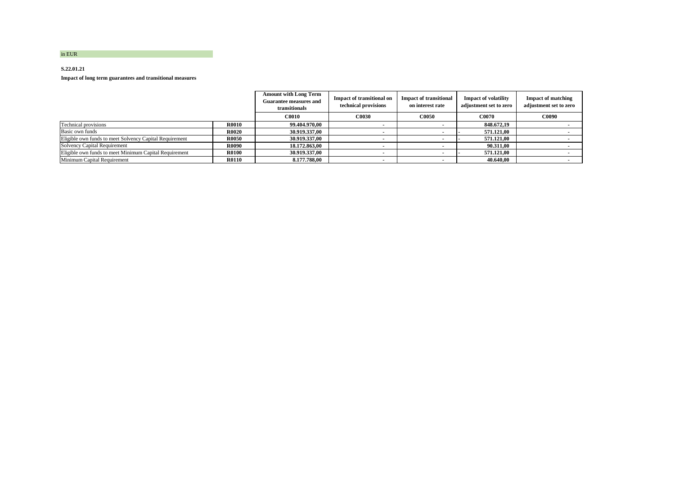#### **S.22.01.21**

**Impact of long term guarantees and transitional measures**

|                                                         |              | <b>Amount with Long Term</b><br><b>Guarantee measures and</b><br>transitionals | <b>Impact of transitional on</b><br>technical provisions | <b>Impact of transitional</b><br>on interest rate | <b>Impact of volatility</b><br>adjustment set to zero | <b>Impact of matching</b><br>adjustment set to zero |
|---------------------------------------------------------|--------------|--------------------------------------------------------------------------------|----------------------------------------------------------|---------------------------------------------------|-------------------------------------------------------|-----------------------------------------------------|
|                                                         |              | <b>C0010</b>                                                                   | <b>C0030</b>                                             | <b>C0050</b>                                      | <b>C0070</b>                                          | <b>C0090</b>                                        |
| Technical provisions                                    | <b>R0010</b> | 99.404.970.00                                                                  |                                                          |                                                   | 848.672.19                                            |                                                     |
| Basic own funds                                         | <b>R0020</b> | 30.919.337.00                                                                  |                                                          |                                                   | 571.121.00                                            |                                                     |
| Eligible own funds to meet Solvency Capital Requirement | <b>R0050</b> | 30.919.337,00                                                                  |                                                          |                                                   | 571.121.00                                            |                                                     |
| Solvency Capital Requirement                            | <b>R0090</b> | 18.172.863.00                                                                  |                                                          |                                                   | 90.311.00                                             |                                                     |
| Eligible own funds to meet Minimum Capital Requirement  | <b>R0100</b> | 30.919.337.00                                                                  |                                                          |                                                   | 571.121.00                                            |                                                     |
| Minimum Capital Requirement                             | <b>R0110</b> | 8.177.788,00                                                                   |                                                          |                                                   | 40.640.00                                             |                                                     |

in EUR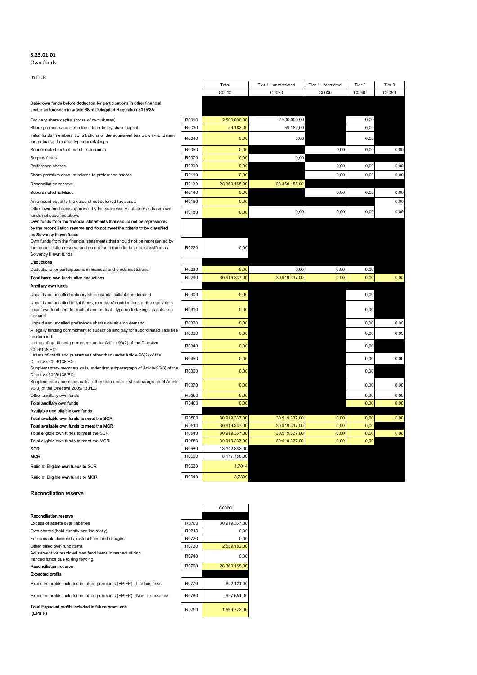#### **S.23.01.01** Own funds

in EUR

|                                                                                                                                                                                                                                                                |                | Total                          | Tier 1 - unrestricted          | Tier 1 - restricted | Tier 2       | Tier 3 |
|----------------------------------------------------------------------------------------------------------------------------------------------------------------------------------------------------------------------------------------------------------------|----------------|--------------------------------|--------------------------------|---------------------|--------------|--------|
|                                                                                                                                                                                                                                                                |                | C0010                          | C0020                          | C0030               | C0040        | C0050  |
| Basic own funds before deduction for participations in other financial<br>sector as foreseen in article 68 of Delegated Regulation 2015/35                                                                                                                     |                |                                |                                |                     |              |        |
| Ordinary share capital (gross of own shares)                                                                                                                                                                                                                   | R0010          | 2.500.000,00                   | 2.500.000,00                   |                     | 0,00         |        |
| Share premium account related to ordinary share capital                                                                                                                                                                                                        | R0030          | 59.182,00                      | 59.182,00                      |                     | 0,00         |        |
| Initial funds, members' contributions or the equivalent basic own - fund item<br>for mutual and mutual-type undertakings                                                                                                                                       | R0040          | 0,00                           | 0,00                           |                     | 0,00         |        |
| Subordinated mutual member accounts                                                                                                                                                                                                                            | R0050          | 0,00                           |                                | 0,00                | 0,00         | 0,00   |
| Surplus funds                                                                                                                                                                                                                                                  | R0070          | 0.00                           | 0,00                           |                     |              |        |
| Preference shares                                                                                                                                                                                                                                              | R0090          | 0,00                           |                                | 0.00                | 0.00         | 0.00   |
| Share premium account related to preference shares                                                                                                                                                                                                             | R0110          | 0,00                           |                                | 0,00                | 0,00         | 0,00   |
| Reconciliation reserve                                                                                                                                                                                                                                         | R0130          | 28.360.155,00                  | 28.360.155,00                  |                     |              |        |
| Subordinated liabilities                                                                                                                                                                                                                                       | R0140          | 0,00                           |                                | 0,00                | 0,00         | 0,00   |
| An amount equal to the value of net deferred tax assets                                                                                                                                                                                                        | R0160          | 0,00                           |                                |                     |              | 0,00   |
| Other own fund items approved by the supervisory authority as basic own<br>funds not specified above                                                                                                                                                           | R0180          | 0,00                           | 0.00                           | 0,00                | 0,00         | 0,00   |
| Own funds from the financial statements that should not be represented<br>by the reconciliation reserve and do not meet the criteria to be classified<br>as Solvency II own funds<br>Own funds from the financial statements that should not be represented by |                |                                |                                |                     |              |        |
| the reconciliation reserve and do not meet the criteria to be classified as<br>Solvency II own funds                                                                                                                                                           | R0220          | 0,00                           |                                |                     |              |        |
| <b>Deductions</b>                                                                                                                                                                                                                                              |                |                                |                                |                     |              |        |
| Deductions for participations in financial and credit institutions                                                                                                                                                                                             | R0230          | 0,00                           | 0,00                           | 0,00                | 0,00         |        |
| Total basic own funds after deductions                                                                                                                                                                                                                         | R0290          | 30.919.337,00                  | 30.919.337,00                  | 0,00                | 0,00         | 0,00   |
| Ancillary own funds                                                                                                                                                                                                                                            |                |                                |                                |                     |              |        |
| Unpaid and uncalled ordinary share capital callable on demand                                                                                                                                                                                                  | R0300          | 0,00                           |                                |                     | 0,00         |        |
| Unpaid and uncalled initial funds, members' contributions or the equivalent<br>basic own fund item for mutual and mutual - type undertakings, callable on<br>demand                                                                                            | R0310          | 0,00                           |                                |                     | 0,00         |        |
| Unpaid and uncalled preference shares callable on demand                                                                                                                                                                                                       | R0320          | 0,00                           |                                |                     | 0,00         | 0,00   |
| A legally binding commitment to subscribe and pay for subordinated liabilities<br>on demand                                                                                                                                                                    | R0330          | 0,00                           |                                |                     | 0,00         | 0,00   |
| Letters of credit and guarantees under Article 96(2) of the Directive<br>2009/138/EC                                                                                                                                                                           | R0340          | 0,00                           |                                |                     | 0,00         |        |
| Letters of credit and guarantees other than under Article 96(2) of the<br>Directive 2009/138/EC                                                                                                                                                                | R0350          | 0,00                           |                                |                     | 0,00         | 0.00   |
| Supplementary members calls under first subparagraph of Article 96(3) of the<br>Directive 2009/138/EC                                                                                                                                                          | R0360          | 0,00                           |                                |                     | 0,00         |        |
| Supplementary members calls - other than under first subparagraph of Article<br>96(3) of the Directive 2009/138/EC                                                                                                                                             | R0370          | 0,00                           |                                |                     | 0.00         | 0.00   |
| Other ancillary own funds                                                                                                                                                                                                                                      | R0390          | 0,00                           |                                |                     | 0.00         | 0,00   |
| Total ancillary own funds                                                                                                                                                                                                                                      | R0400          | 0,00                           |                                |                     | 0.00         | 0.00   |
| Available and eligible own funds                                                                                                                                                                                                                               |                |                                |                                |                     |              |        |
| Total available own funds to meet the SCR                                                                                                                                                                                                                      | R0500          | 30.919.337,00                  | 30.919.337,00                  | 0.00                | 0.00         | 0.00   |
| Total available own funds to meet the MCR                                                                                                                                                                                                                      | R0510          | 30.919.337,00                  | 30.919.337,00                  | 0,00                | 0,00         |        |
| Total eligible own funds to meet the SCR                                                                                                                                                                                                                       | R0540<br>R0550 | 30.919.337,00                  | 30.919.337.00<br>30.919.337,00 | 0.00<br>0.00        | 0.00<br>0.00 | 0.00   |
| Total eligible own funds to meet the MCR<br>SCR                                                                                                                                                                                                                | R0580          | 30.919.337,00<br>18.172.863,00 |                                |                     |              |        |
| <b>MCR</b>                                                                                                                                                                                                                                                     | R0600          | 8.177.788,00                   |                                |                     |              |        |
| Ratio of Eligible own funds to SCR                                                                                                                                                                                                                             | R0620          | 1,7014                         |                                |                     |              |        |
| Ratio of Eligible own funds to MCR                                                                                                                                                                                                                             | R0640          | 3,7809                         |                                |                     |              |        |

#### Reconciliation reserve

|                                                                                                 |       | C0060         |
|-------------------------------------------------------------------------------------------------|-------|---------------|
| Reconciliation reserve                                                                          |       |               |
| Excess of assets over liabilities                                                               | R0700 | 30.919.337.00 |
| Own shares (held directly and indirectly)                                                       | R0710 | 0.00          |
| Foreseeable dividends, distributions and charges                                                | R0720 | 0.00          |
| Other basic own fund items                                                                      | R0730 | 2.559.182,00  |
| Adjustment for restricted own fund items in respect of ring<br>fenced funds due to ring fencing | R0740 | 0.00          |
| Reconciliation reserve                                                                          | R0760 | 28.360.155.00 |
| <b>Expected profits</b>                                                                         |       |               |
| Expected profits included in future premiums (EPIFP) - Life business                            | R0770 | 602.121.00    |
| Expected profits included in future premiums (EPIFP) - Non-life business                        | R0780 | 997.651.00    |
| Total Expected profits included in future premiums<br>(EPIFP)                                   | R0790 | 1.599.772.00  |